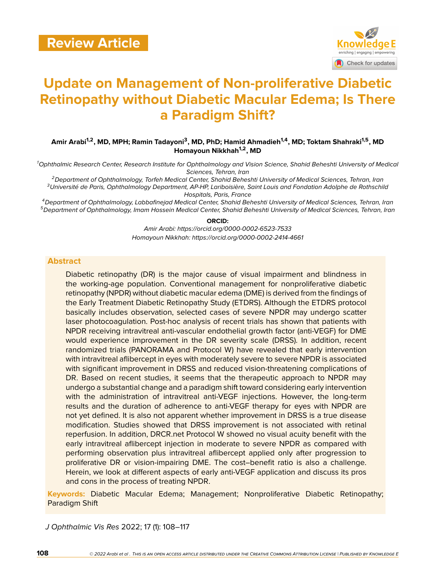

# **Update on Management of Non-proliferative Diabetic Retinopathy without Diabetic Macular Edema; Is There a Paradigm Shift?**

**Amir Arabi1,2, MD, MPH; Ramin Tadayoni<sup>3</sup> , MD, PhD; Hamid Ahmadieh1,4, MD; Toktam Shahraki1,5, MD Homayoun Nikkhah1,2, MD**

*<sup>1</sup>Ophthalmic Research Center, Research Institute for Ophthalmology and Vision Science, Shahid Beheshti University of Medical Sciences, Tehran, Iran*

*<sup>2</sup>Department of Ophthalmology, Torfeh Medical Center, Shahid Beheshti University of Medical Sciences, Tehran, Iran <sup>3</sup>Université de Paris, Ophthalmology Department, AP-HP, Lariboisière, Saint Louis and Fondation Adolphe de Rothschild Hospitals, Paris, France*

*<sup>4</sup>Department of Ophthalmology, Labbafinejad Medical Center, Shahid Beheshti University of Medical Sciences, Tehran, Iran <sup>5</sup>Department of Ophthalmology, Imam Hossein Medical Center, Shahid Beheshti University of Medical Sciences, Tehran, Iran*

#### **ORCID:**

*Amir Arabi: https://orcid.org/0000-0002-6523-7533 Homayoun Nikkhah: https://orcid.org/0000-0002-2414-4661*

#### **Abstract**

Diabetic retinopathy (DR) is the major cause of visual impairment and blindness in the working-age population. Conventional management for nonproliferative diabetic retinopathy (NPDR) without diabetic macular edema (DME) is derived from the findings of the Early Treatment Diabetic Retinopathy Study (ETDRS). Although the ETDRS protocol basically includes observation, selected cases of severe NPDR may undergo scatter laser photocoagulation. Post-hoc analysis of recent trials has shown that patients with NPDR receiving intravitreal anti-vascular endothelial growth factor (anti-VEGF) for DME would experience improvement in the DR severity scale (DRSS). In addition, recent randomized trials (PANORAMA and Protocol W) have revealed that early intervention with intravitreal aflibercept in eyes with moderately severe to severe NPDR is associated with significant improvement in DRSS and reduced vision-threatening complications of DR. Based on recent studies, it seems that the therapeutic approach to NPDR may undergo a substantial change and a paradigm shift toward considering early intervention with the administration of intravitreal anti-VEGF injections. However, the long-term results and the duration of adherence to anti-VEGF therapy for eyes with NPDR are not yet defined. It is also not apparent whether improvement in DRSS is a true disease modification. Studies showed that DRSS improvement is not associated with retinal reperfusion. In addition, DRCR.net Protocol W showed no visual acuity benefit with the early intravitreal aflibercept injection in moderate to severe NPDR as compared with performing observation plus intravitreal aflibercept applied only after progression to proliferative DR or vision-impairing DME. The cost–benefit ratio is also a challenge. Herein, we look at different aspects of early anti-VEGF application and discuss its pros and cons in the process of treating NPDR.

**Keywords:** Diabetic Macular Edema; Management; Nonproliferative Diabetic Retinopathy; Paradigm Shift

*J Ophthalmic Vis Res* 2022; 17 (1): 108–117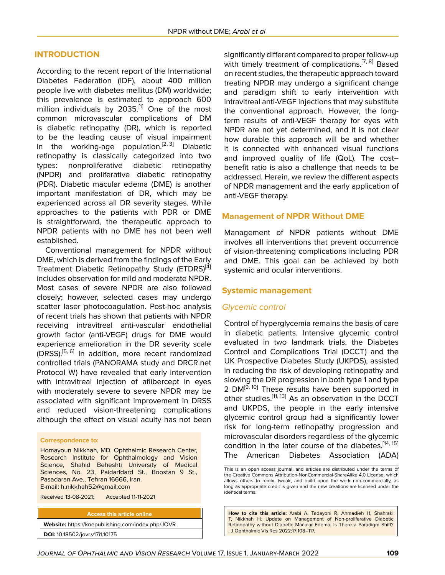#### **INTRODUCTION**

According to the recent report of the International Diabetes Federation (IDF), about 400 million people live with diabetes mellitus (DM) worldwide; this prevalence is estimated to approach 600 million individuals by  $2035$ .<sup>[[1](#page-6-0)]</sup> One of the most common microvascular complications of DM is diabetic retinopathy (DR), which is reported to be the leading cause of visual impairment in the working-age population.<sup>[[2](#page-6-1), [3](#page-6-2)]</sup> Diabetic retinopathy is classically categorized into two types: nonproliferative diabetic retinopathy (NPDR) and proliferative diabetic retinopathy (PDR). Diabetic macular edema (DME) is another important manifestation of DR, which may be experienced across all DR severity stages. While approaches to the patients with PDR or DME is straightforward, the therapeutic approach to NPDR patients with no DME has not been well established.

Conventional management for NPDR without DME, which is derived from the findings of the Early Treatment Diabetic Retinopathy Study (ETDRS)<sup>[\[4](#page-6-3)]</sup> includes observation for mild and moderate NPDR. Most cases of severe NPDR are also followed closely; however, selected cases may undergo scatter laser photocoagulation. Post-hoc analysis of recent trials has shown that patients with NPDR receiving intravitreal anti-vascular endothelial growth factor (anti-VEGF) drugs for DME would experience amelioration in the DR severity scale (DRSS).<sup>[\[5,](#page-6-4) [6](#page-6-5)]</sup> In addition, more recent randomized controlled trials (PANORAMA study and DRCR.net Protocol W) have revealed that early intervention with intravitreal injection of aflibercept in eyes with moderately severe to severe NPDR may be associated with significant improvement in DRSS and reduced vision-threatening complications although the effect on visual acuity has not been

#### **Correspondence to:**

Homayoun Nikkhah, MD. Ophthalmic Research Center, Research Institute for Ophthalmology and Vision Science, Shahid Beheshti University of Medical Sciences, No. 23, Paidarfdard St., Boostan 9 St., Pasadaran Ave., Tehran 16666, Iran. E-mail: h.nikkhah52@gmail.com

Received 13-08-2021; Accepted 11-11-2021

**Access this article online Website:** <https://knepublishing.com/index.php/JOVR> **DOI:** 10.18502/jovr.v17i1.10175

significantly different compared to proper follow-up with timely treatment of complications.<sup>[[7,](#page-6-6) [8\]](#page-6-7)</sup> Based on recent studies, the therapeutic approach toward treating NPDR may undergo a significant change and paradigm shift to early intervention with intravitreal anti-VEGF injections that may substitute the conventional approach. However, the longterm results of anti-VEGF therapy for eyes with NPDR are not yet determined, and it is not clear how durable this approach will be and whether it is connected with enhanced visual functions and improved quality of life (QoL). The cost– benefit ratio is also a challenge that needs to be addressed. Herein, we review the different aspects of NPDR management and the early application of anti-VEGF therapy.

#### **Management of NPDR Without DME**

Management of NPDR patients without DME involves all interventions that prevent occurrence of vision-threatening complications including PDR and DME. This goal can be achieved by both systemic and ocular interventions.

#### **Systemic management**

#### *Glycemic control*

Control of hyperglycemia remains the basis of care in diabetic patients. Intensive glycemic control evaluated in two landmark trials, the Diabetes Control and Complications Trial (DCCT) and the UK Prospective Diabetes Study (UKPDS), assisted in reducing the risk of developing retinopathy and slowing the DR progression in both type 1 and type 2 DM<sup>[[9](#page-6-8), [10](#page-6-9)]</sup> These results have been supported in other studies.<sup>[\[11](#page-7-0), [13\]](#page-7-1)</sup> As an observation in the DCCT and UKPDS, the people in the early intensive glycemic control group had a significantly lower risk for long-term retinopathy progression and microvascular disorders regardless of the glycemic condition in the later course of the diabetes.<sup>[[14](#page-7-2), [15](#page-7-3)]</sup> The American Diabetes Association (ADA)

**How to cite this article:** Arabi A, Tadayoni R, Ahmadieh H, Shahraki T, Nikkhah H. Update on Management of Non-proliferative Diabetic Retinopathy without Diabetic Macular Edema; Is There a Paradigm Shift? . J Ophthalmic Vis Res 2022;17:108–117.

This is an open access journal, and articles are distributed under the terms of the Creative Commons Attribution-NonCommercial-ShareAlike 4.0 License, which allows others to remix, tweak, and build upon the work non-commercially, as long as appropriate credit is given and the new creations are licensed under the identical terms.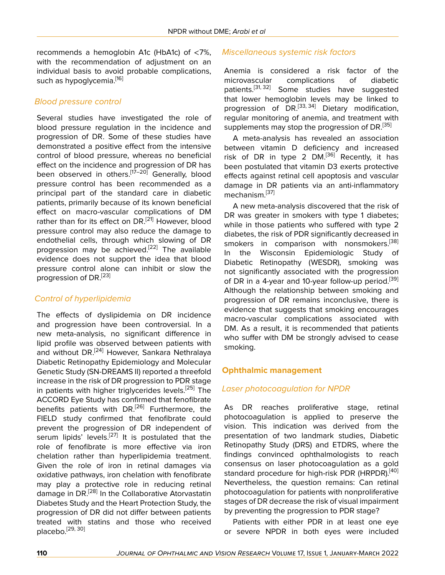recommends a hemoglobin A1c (HbA1c) of <7%, with the recommendation of adjustment on an individual basis to avoid probable complications, such as hypoglycemia.<sup>[[16\]](#page-7-4)</sup>

## *Blood pressure control*

Several studies have investigated the role of blood pressure regulation in the incidence and progression of DR. Some of these studies have demonstrated a positive effect from the intensive control of blood pressure, whereas no beneficial effect on the incidence and progression of DR has been observed in others.<sup>[\[17](#page-7-5)[–20\]](#page-7-6)</sup> Generally, blood pressure control has been recommended as a principal part of the standard care in diabetic patients, primarily because of its known beneficial effect on macro-vascular complications of DM rather than for its effect on DR.<sup>[\[21](#page-7-7)]</sup> However, blood pressure control may also reduce the damage to endothelial cells, through which slowing of DR progression may be achieved.<sup>[\[22](#page-7-8)]</sup> The available evidence does not support the idea that blood pressure control alone can inhibit or slow the progression of DR.[\[23](#page-7-9)]

# *Control of hyperlipidemia*

The effects of dyslipidemia on DR incidence and progression have been controversial. In a new meta-analysis, no significant difference in lipid profile was observed between patients with and without DR.<sup>[[24](#page-7-10)]</sup> However, Sankara Nethralaya Diabetic Retinopathy Epidemiology and Molecular Genetic Study (SN-DREAMS II) reported a threefold increase in the risk of DR progression to PDR stage in patients with higher triglycerides levels.<sup>[[25\]](#page-7-11)</sup> The ACCORD Eye Study has confirmed that fenofibrate benefits patients with DR.<sup>[[26\]](#page-7-12)</sup> Furthermore, the FIELD study confirmed that fenofibrate could prevent the progression of DR independent of serum lipids' levels.<sup>[[27](#page-7-13)]</sup> It is postulated that the role of fenofibrate is more effective via iron chelation rather than hyperlipidemia treatment. Given the role of iron in retinal damages via oxidative pathways, iron chelation with fenofibrate may play a protective role in reducing retinal damage in DR.<sup>[\[28](#page-7-14)]</sup> In the Collaborative Atorvastatin Diabetes Study and the Heart Protection Study, the progression of DR did not differ between patients treated with statins and those who received placebo.[\[29](#page-7-15), [30\]](#page-7-16)

# *Miscellaneous systemic risk factors*

Anemia is considered a risk factor of the microvascular complications of diabetic patients.<sup>[\[31](#page-7-17), [32\]](#page-7-18)</sup> Some studies have suggested that lower hemoglobin levels may be linked to progression of DR.<sup>[[33](#page-7-19), [34\]](#page-7-20)</sup> Dietary modification, regular monitoring of anemia, and treatment with supplements may stop the progression of DR.<sup>[\[35](#page-7-21)]</sup>

A meta-analysis has revealed an association between vitamin D deficiency and increased risk of DR in type 2 DM.<sup>[\[36](#page-7-22)]</sup> Recently, it has been postulated that vitamin D3 exerts protective effects against retinal cell apoptosis and vascular damage in DR patients via an anti-inflammatory mechanism.<sup>[[37\]](#page-7-23)</sup>

A new meta-analysis discovered that the risk of DR was greater in smokers with type 1 diabetes; while in those patients who suffered with type 2 diabetes, the risk of PDR significantly decreased in smokers in comparison with nonsmokers.<sup>[[38](#page-7-24)]</sup> In the Wisconsin Epidemiologic Study of Diabetic Retinopathy (WESDR), smoking was not significantly associated with the progression of DR in a 4-year and 10-year follow-up period.<sup>[[39](#page-7-25)]</sup> Although the relationship between smoking and progression of DR remains inconclusive, there is evidence that suggests that smoking encourages macro-vascular complications associated with DM. As a result, it is recommended that patients who suffer with DM be strongly advised to cease smoking.

# **Ophthalmic management**

# *Laser photocoagulation for NPDR*

As DR reaches proliferative stage, retinal photocoagulation is applied to preserve the vision. This indication was derived from the presentation of two landmark studies, Diabetic Retinopathy Study (DRS) and ETDRS, where the findings convinced ophthalmologists to reach consensus on laser photocoagulation as a gold standard procedure for high-risk PDR (HRPDR).<sup>[\[40](#page-7-26)]</sup> Nevertheless, the question remains: Can retinal photocoagulation for patients with nonproliferative stages of DR decrease the risk of visual impairment by preventing the progression to PDR stage?

Patients with either PDR in at least one eye or severe NPDR in both eyes were included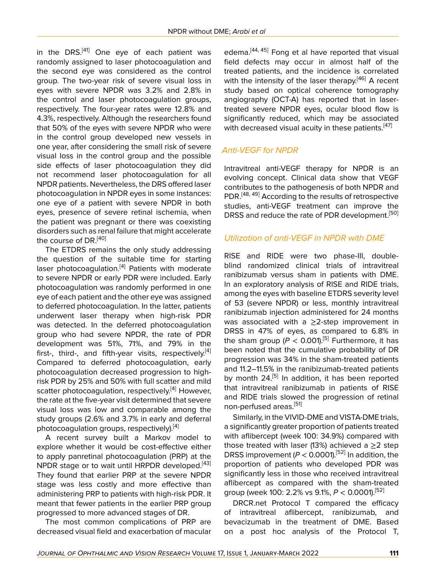in the DRS. $[41]$  $[41]$  $[41]$  One eye of each patient was randomly assigned to laser photocoagulation and the second eye was considered as the control group. The two-year risk of severe visual loss in eyes with severe NPDR was 3.2% and 2.8% in the control and laser photocoagulation groups, respectively. The four-year rates were 12.8% and 4.3%, respectively. Although the researchers found that 50% of the eyes with severe NPDR who were in the control group developed new vessels in one year, after considering the small risk of severe visual loss in the control group and the possible side effects of laser photocoagulation they did not recommend laser photocoagulation for all NPDR patients. Nevertheless, the DRS offered laser photocoagulation in NPDR eyes in some instances: one eye of a patient with severe NPDR in both eyes, presence of severe retinal ischemia, when the patient was pregnant or there was coexisting disorders such as renal failure that might accelerate the course of DR.<sup>[\[40](#page-7-26)]</sup>

The ETDRS remains the only study addressing the question of the suitable time for starting laser photocoagulation.<sup>[\[4\]](#page-6-3)</sup> Patients with moderate to severe NPDR or early PDR were included. Early photocoagulation was randomly performed in one eye of each patient and the other eye was assigned to deferred photocoagulation. In the latter, patients underwent laser therapy when high-risk PDR was detected. In the deferred photocoagulation group who had severe NPDR, the rate of PDR development was 51%, 71%, and 79% in the first-, third-, and fifth-year visits, respectively.<sup>[\[4](#page-6-3)]</sup> Compared to deferred photocoagulation, early photocoagulation decreased progression to highrisk PDR by 25% and 50% with full scatter and mild scatter photocoagulation, respectively.<sup>[\[4\]](#page-6-3)</sup> However, the rate at the five-year visit determined that severe visual loss was low and comparable among the study groups (2.6% and 3.7% in early and deferral photocoagulation groups, respectively).<sup>[[4](#page-6-3)]</sup>

A recent survey built a Markov model to explore whether it would be cost-effective either to apply panretinal photocoagulation (PRP) at the NPDR stage or to wait until HRPDR developed.<sup>[[43](#page-8-1)]</sup> They found that earlier PRP at the severe NPDR stage was less costly and more effective than administering PRP to patients with high-risk PDR. It meant that fewer patients in the earlier PRP group progressed to more advanced stages of DR.

The most common complications of PRP are decreased visual field and exacerbation of macular

edema.<sup>[\[44,](#page-8-2) [45](#page-8-3)]</sup> Fong et al have reported that visual field defects may occur in almost half of the treated patients, and the incidence is correlated with the intensity of the laser therapy.<sup>[[46\]](#page-8-4)</sup> A recent study based on optical coherence tomography angiography (OCT-A) has reported that in lasertreated severe NPDR eyes, ocular blood flow is significantly reduced, which may be associated with decreased visual acuity in these patients.<sup>[\[47\]](#page-8-5)</sup>

# *Anti-VEGF for NPDR*

Intravitreal anti-VEGF therapy for NPDR is an evolving concept. Clinical data show that VEGF contributes to the pathogenesis of both NPDR and PDR.<sup>[\[48,](#page-8-6) [49](#page-8-7)]</sup> According to the results of retrospective studies, anti-VEGF treatment can improve the DRSS and reduce the rate of PDR development.<sup>[\[50](#page-8-8)]</sup>

# *Utilization of anti-VEGF in NPDR with DME*

RISE and RIDE were two phase-III, doubleblind randomized clinical trials of intravitreal ranibizumab versus sham in patients with DME. In an exploratory analysis of RISE and RIDE trials, among the eyes with baseline ETDRS severity level of 53 (severe NPDR) or less, monthly intravitreal ranibizumab injection administered for 24 months was associated with a  $\geq$ 2-step improvement in DRSS in 47% of eyes, as compared to 6.8% in the sham group  $(P < 0.001)$ <sup>[\[5\]](#page-6-4)</sup> Furthermore, it has been noted that the cumulative probability of DR progression was 34% in the sham-treated patients and 11.2–11.5% in the ranibizumab-treated patients by month 24.<sup>[[5](#page-6-4)]</sup> In addition, it has been reported that intravitreal ranibizumab in patients of RISE and RIDE trials slowed the progression of retinal non-perfused areas.<sup>[\[51\]](#page-8-9)</sup>

Similarly, in the VIVID-DME and VISTA-DME trials, a significantly greater proportion of patients treated with aflibercept (week 100: 34.9%) compared with those treated with laser (13%) achieved a  $\geq$ 2 step DRSS improvement ( $P < 0.0001$ ).<sup>[\[52](#page-8-10)]</sup> In addition, the proportion of patients who developed PDR was significantly less in those who received intravitreal aflibercept as compared with the sham-treated group (week 100: 2.2% vs 9.1%, *P* < 0.0001).[[52\]](#page-8-10)

DRCR.net Protocol T compared the efficacy of intravitreal aflibercept, ranibizumab, and bevacizumab in the treatment of DME. Based on a post hoc analysis of the Protocol T,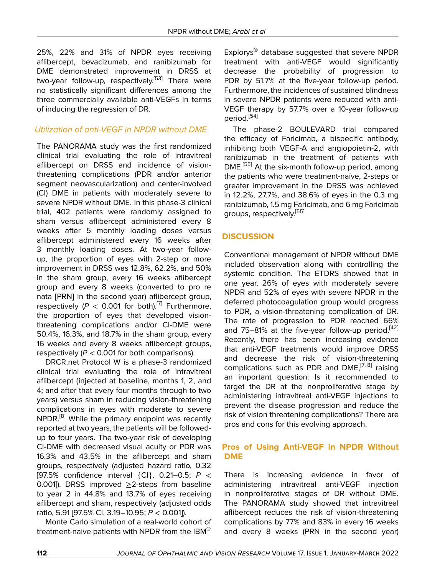25%, 22% and 31% of NPDR eyes receiving aflibercept, bevacizumab, and ranibizumab for DME demonstrated improvement in DRSS at two-year follow-up, respectively.<sup>[\[53](#page-8-11)]</sup> There were no statistically significant differences among the three commercially available anti-VEGFs in terms of inducing the regression of DR.

# *Utilization of anti-VEGF in NPDR without DME*

The PANORAMA study was the first randomized clinical trial evaluating the role of intravitreal aflibercept on DRSS and incidence of visionthreatening complications (PDR and/or anterior segment neovascularization) and center-involved (CI) DME in patients with moderately severe to severe NPDR without DME. In this phase-3 clinical trial, 402 patients were randomly assigned to sham versus aflibercept administered every 8 weeks after 5 monthly loading doses versus aflibercept administered every 16 weeks after 3 monthly loading doses. At two-year followup, the proportion of eyes with 2-step or more improvement in DRSS was 12.8%, 62.2%, and 50% in the sham group, every 16 weeks aflibercept group and every 8 weeks (converted to pro re nata [PRN] in the second year) aflibercept group, respectively ( $P < 0.001$  for both).<sup>[\[7](#page-6-6)]</sup> Furthermore, the proportion of eyes that developed visionthreatening complications and/or CI-DME were 50.4%, 16.3%, and 18.7% in the sham group, every 16 weeks and every 8 weeks aflibercept groups, respectively (*P* < 0.001 for both comparisons).

DRCR.net Protocol W is a phase-3 randomized clinical trial evaluating the role of intravitreal aflibercept (injected at baseline, months 1, 2, and 4; and after that every four months through to two years) versus sham in reducing vision-threatening complications in eyes with moderate to severe NPDR.<sup>[[8](#page-6-7)]</sup> While the primary endpoint was recently reported at two years, the patients will be followedup to four years. The two-year risk of developing CI-DME with decreased visual acuity or PDR was 16.3% and 43.5% in the aflibercept and sham groups, respectively (adjusted hazard ratio, 0.32 [97.5% confidence interval {CI}, 0.21–0.5; *P* < 0.001]). DRSS improved ≥2-steps from baseline to year 2 in 44.8% and 13.7% of eyes receiving aflibercept and sham, respectively (adjusted odds ratio, 5.91 [97.5% CI, 3.19–10.95; *P* < 0.001]).

Monte Carlo simulation of a real-world cohort of treatment-naive patients with NPDR from the IBM®

Explorys® database suggested that severe NPDR treatment with anti-VEGF would significantly decrease the probability of progression to PDR by 51.7% at the five-year follow-up period. Furthermore, the incidences of sustained blindness in severe NPDR patients were reduced with anti-VEGF therapy by 57.7% over a 10-year follow-up period.[\[54\]](#page-8-12)

The phase-2 BOULEVARD trial compared the efficacy of Faricimab, a bispecific antibody, inhibiting both VEGF-A and angiopoietin-2, with ranibizumab in the treatment of patients with DME.<sup>[[55](#page-8-13)]</sup> At the six-month follow-up period, among the patients who were treatment-naïve, 2-steps or greater improvement in the DRSS was achieved in 12.2%, 27.7%, and 38.6% of eyes in the 0.3 mg ranibizumab, 1.5 mg Faricimab, and 6 mg Faricimab groups, respectively.<sup>[\[55](#page-8-13)]</sup>

## **DISCUSSION**

Conventional management of NPDR without DME included observation along with controlling the systemic condition. The ETDRS showed that in one year, 26% of eyes with moderately severe NPDR and 52% of eyes with severe NPDR in the deferred photocoagulation group would progress to PDR, a vision-threatening complication of DR. The rate of progression to PDR reached 66% and  $75-81%$  at the five-year follow-up period.<sup>[[42](#page-8-14)]</sup> Recently, there has been increasing evidence that anti-VEGF treatments would improve DRSS and decrease the risk of vision-threatening complications such as PDR and DME,<sup>[[7,](#page-6-6) [8\]](#page-6-7)</sup> raising an important question: Is it recommended to target the DR at the nonproliferative stage by administering intravitreal anti-VEGF injections to prevent the disease progression and reduce the risk of vision threatening complications? There are pros and cons for this evolving approach.

### **Pros of Using Anti-VEGF in NPDR Without DME**

There is increasing evidence in favor of administering intravitreal anti-VEGF injection in nonproliferative stages of DR without DME. The PANORAMA study showed that intravitreal aflibercept reduces the risk of vision-threatening complications by 77% and 83% in every 16 weeks and every 8 weeks (PRN in the second year)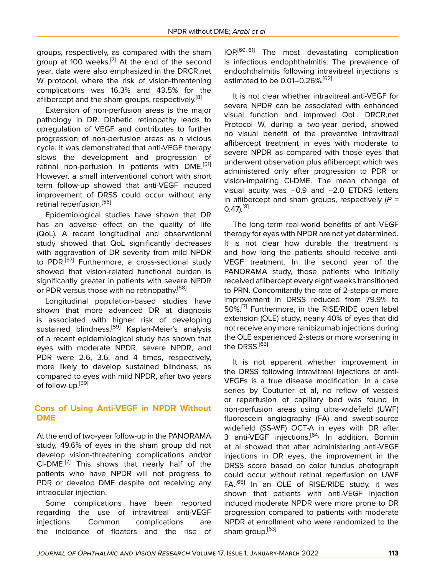groups, respectively, as compared with the sham group at 100 weeks.<sup>[[7\]](#page-6-6)</sup> At the end of the second year, data were also emphasized in the DRCR.net W protocol, where the risk of vision-threatening complications was 16.3% and 43.5% for the aflibercept and the sham groups, respectively.<sup>[\[8\]](#page-6-7)</sup>

Extension of non-perfusion areas is the major pathology in DR. Diabetic retinopathy leads to upregulation of VEGF and contributes to further progression of non-perfusion areas as a vicious cycle. It was demonstrated that anti-VEGF therapy slows the development and progression of retinal non-perfusion in patients with DME.<sup>[\[51](#page-8-9)]</sup> However, a small interventional cohort with short term follow-up showed that anti-VEGF induced improvement of DRSS could occur without any retinal reperfusion.<sup>[[56](#page-8-15)]</sup>

Epidemiological studies have shown that DR has an adverse effect on the quality of life (QoL). A recent longitudinal and observational study showed that QoL significantly decreases with aggravation of DR severity from mild NPDR to PDR.<sup>[\[57\]](#page-8-16)</sup> Furthermore, a cross-sectional study showed that vision-related functional burden is significantly greater in patients with severe NPDR or PDR versus those with no retinopathy.<sup>[[58\]](#page-8-17)</sup>

Longitudinal population-based studies have shown that more advanced DR at diagnosis is associated with higher risk of developing sustained blindness.<sup>[\[59](#page-8-18)]</sup> Kaplan-Meier's analysis of a recent epidemiological study has shown that eyes with moderate NPDR, severe NPDR, and PDR were 2.6, 3.6, and 4 times, respectively, more likely to develop sustained blindness, as compared to eyes with mild NPDR, after two years of follow-up.<sup>[[59\]](#page-8-18)</sup>

### **Cons of Using Anti-VEGF in NPDR Without DME**

At the end of two-year follow-up in the PANORAMA study, 49.6% of eyes in the sham group did not develop vision-threatening complications and/or  $CI-DME.$ <sup>[\[7](#page-6-6)]</sup> This shows that nearly half of the patients who have NPDR will not progress to PDR or develop DME despite not receiving any intraocular injection.

Some complications have been reported regarding the use of intravitreal anti-VEGF injections. Common complications are the incidence of floaters and the rise of

IOP.[[60](#page-8-19), [61\]](#page-8-20) The most devastating complication is infectious endophthalmitis. The prevalence of endophthalmitis following intravitreal injections is estimated to be 0.01-0.26%.<sup>[\[62](#page-8-21)]</sup>

It is not clear whether intravitreal anti-VEGF for severe NPDR can be associated with enhanced visual function and improved QoL. DRCR.net Protocol W, during a two-year period, showed no visual benefit of the preventive intravitreal aflibercept treatment in eyes with moderate to severe NPDR as compared with those eyes that underwent observation plus aflibercept which was administered only after progression to PDR or vision-impairing CI-DME. The mean change of visual acuity was –0.9 and –2.0 ETDRS letters in aflibercept and sham groups, respectively (*P* =  $0.47$ <sup>[[8](#page-6-7)]</sup>

The long-term real-world benefits of anti-VEGF therapy for eyes with NPDR are not yet determined. It is not clear how durable the treatment is and how long the patients should receive anti-VEGF treatment. In the second year of the PANORAMA study, those patients who initially received aflibercept every eight weeks transitioned to PRN. Concomitantly the rate of 2-steps or more improvement in DRSS reduced from 79.9% to 50%.<sup>[\[7](#page-6-6)]</sup> Furthermore, in the RISE/RIDE open label extension (OLE) study, nearly 40% of eyes that did not receive any more ranibizumab injections during the OLE experienced 2-steps or more worsening in the DRSS.<sup>[\[63](#page-8-22)]</sup>

It is not apparent whether improvement in the DRSS following intravitreal injections of anti-VEGFs is a true disease modification. In a case series by Couturier et al, no reflow of vessels or reperfusion of capillary bed was found in non-perfusion areas using ultra-widefield (UWF) fluorescein angiography (FA) and swept-source widefield (SS-WF) OCT-A in eyes with DR after 3 anti-VEGF injections.<sup>[[64\]](#page-8-23)</sup> In addition, Bonnin et al showed that after administering anti-VEGF injections in DR eyes, the improvement in the DRSS score based on color fundus photograph could occur without retinal reperfusion on UWF FA.<sup>[\[65](#page-8-24)]</sup> In an OLE of RISE/RIDE study, it was shown that patients with anti-VEGF injection induced moderate NPDR were more prone to DR progression compared to patients with moderate NPDR at enrollment who were randomized to the sham group.<sup>[[63](#page-8-22)]</sup>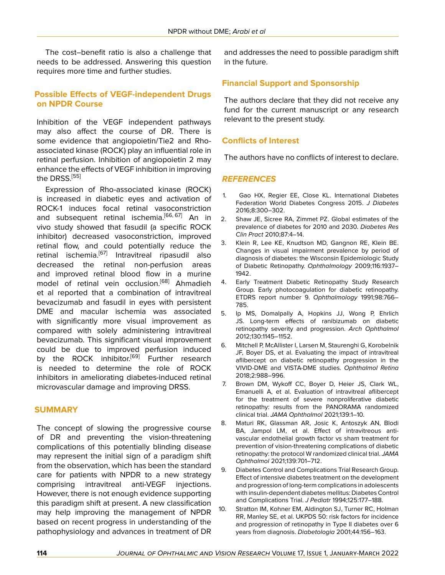The cost–benefit ratio is also a challenge that needs to be addressed. Answering this question requires more time and further studies.

### **Possible Effects of VEGF-independent Drugs on NPDR Course**

Inhibition of the VEGF independent pathways may also affect the course of DR. There is some evidence that angiopoietin/Tie2 and Rhoassociated kinase (ROCK) play an influential role in retinal perfusion. Inhibition of angiopoietin 2 may enhance the effects of VEGF inhibition in improving the DRSS.<sup>[\[55](#page-8-13)]</sup>

Expression of Rho-associated kinase (ROCK) is increased in diabetic eyes and activation of ROCK-1 induces focal retinal vasoconstriction and subsequent retinal ischemia.<sup>[[66,](#page-8-25) [67\]](#page-8-26)</sup> An in vivo study showed that fasudil (a specific ROCK inhibitor) decreased vasoconstriction, improved retinal flow, and could potentially reduce the retinal ischemia.<sup>[[67\]](#page-8-26)</sup> Intravitreal ripasudil also decreased the retinal non-perfusion areas and improved retinal blood flow in a murine model of retinal vein occlusion.<sup>[\[68](#page-8-27)]</sup> Ahmadieh et al reported that a combination of intravitreal bevacizumab and fasudil in eyes with persistent DME and macular ischemia was associated with significantly more visual improvement as compared with solely administering intravitreal bevacizumab. This significant visual improvement could be due to improved perfusion induced by the ROCK inhibitor.<sup>[\[69](#page-9-0)]</sup> Further research is needed to determine the role of ROCK inhibitors in ameliorating diabetes-induced retinal microvascular damage and improving DRSS.

### **SUMMARY**

The concept of slowing the progressive course of DR and preventing the vision-threatening complications of this potentially blinding disease may represent the initial sign of a paradigm shift from the observation, which has been the standard care for patients with NPDR to a new strategy comprising intravitreal anti-VEGF injections. However, there is not enough evidence supporting this paradigm shift at present. A new classification may help improving the management of NPDR based on recent progress in understanding of the pathophysiology and advances in treatment of DR

and addresses the need to possible paradigm shift in the future.

### **Financial Support and Sponsorship**

The authors declare that they did not receive any fund for the current manuscript or any research relevant to the present study.

### **Conflicts of Interest**

The authors have no conflicts of interest to declare.

#### *REFERENCES*

- <span id="page-6-0"></span>1. Gao HX, Regier EE, Close KL. International Diabetes Federation World Diabetes Congress 2015. *J Diabetes* 2016;8:300–302.
- <span id="page-6-1"></span>2. Shaw JE, Sicree RA, Zimmet PZ. Global estimates of the prevalence of diabetes for 2010 and 2030. *Diabetes Res Clin Pract* 2010;87:4–14.
- <span id="page-6-2"></span>3. Klein R, Lee KE, Knudtson MD, Gangnon RE, Klein BE. Changes in visual impairment prevalence by period of diagnosis of diabetes: the Wisconsin Epidemiologic Study of Diabetic Retinopathy. *Ophthalmology* 2009;116:1937– 1942.
- <span id="page-6-3"></span>4. Early Treatment Diabetic Retinopathy Study Research Group. Early photocoagulation for diabetic retinopathy. ETDRS report number 9. *Ophthalmology* 1991;98:766– 785.
- <span id="page-6-4"></span>5. Ip MS, Domalpally A, Hopkins JJ, Wong P, Ehrlich JS. Long-term effects of ranibizumab on diabetic retinopathy severity and progression. *Arch Ophthalmol* 2012;130:1145–1152.
- <span id="page-6-5"></span>6. Mitchell P, McAllister I, Larsen M, Staurenghi G, Korobelnik JF, Boyer DS, et al. Evaluating the impact of intravitreal aflibercept on diabetic retinopathy progression in the VIVID-DME and VISTA-DME studies. *Ophthalmol Retina* 2018;2:988–996.
- <span id="page-6-6"></span>7. Brown DM, Wykoff CC, Boyer D, Heier JS, Clark WL, Emanuelli A, et al. Evaluation of intravitreal aflibercept for the treatment of severe nonproliferative diabetic retinopathy: results from the PANORAMA randomized clinical trial. *JAMA Ophthalmol* 2021;139:1–10.
- <span id="page-6-7"></span>8. Maturi RK, Glassman AR, Josic K, Antoszyk AN, Blodi BA, Jampol LM, et al. Effect of intravitreous antivascular endothelial growth factor vs sham treatment for prevention of vision-threatening complications of diabetic retinopathy: the protocol W randomized clinical trial. *JAMA Ophthalmol* 2021;139:701–712.
- <span id="page-6-8"></span>9. Diabetes Control and Complications Trial Research Group. Effect of intensive diabetes treatment on the development and progression of long-term complications in adolescents with insulin-dependent diabetes mellitus: Diabetes Control and Complications Trial. *J Pediatr* 1994;125:177–188.
- <span id="page-6-9"></span>10. Stratton IM, Kohner EM, Aldington SJ, Turner RC, Holman RR, Manley SE, et al. UKPDS 50: risk factors for incidence and progression of retinopathy in Type II diabetes over 6 years from diagnosis. *Diabetologia* 2001;44:156–163.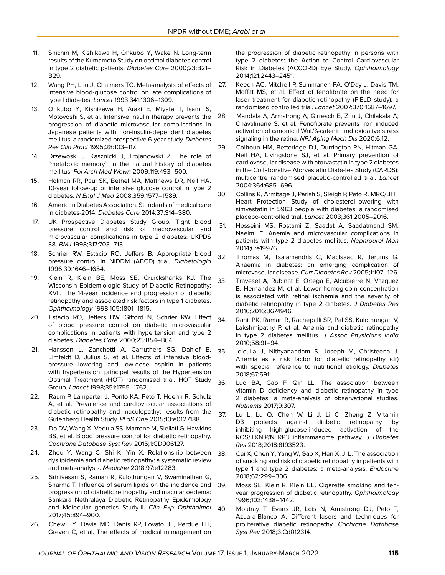- <span id="page-7-0"></span>11. Shichiri M, Kishikawa H, Ohkubo Y, Wake N. Long-term results of the Kumamoto Study on optimal diabetes control in type 2 diabetic patients. *Diabetes Care* 2000;23:B21– B29.
- 12. Wang PH, Lau J, Chalmers TC. Meta-analysis of effects of intensive blood-glucose control on late complications of type I diabetes. *Lancet* 1993;341:1306–1309.
- <span id="page-7-1"></span>13. Ohkubo Y, Kishikawa H, Araki E, Miyata T, Isami S, Motoyoshi S, et al. Intensive insulin therapy prevents the progression of diabetic microvascular complications in Japanese patients with non-insulin-dependent diabetes mellitus: a randomized prospective 6-year study. *Diabetes Res Clin Pract* 1995;28:103–117.
- <span id="page-7-2"></span>14. Drzewoski J, Kasznicki J, Trojanowski Z. The role of "metabolic memory" in the natural history of diabetes mellitus. *Pol Arch Med Wewn* 2009;119:493–500.
- <span id="page-7-3"></span>15. Holman RR, Paul SK, Bethel MA, Matthews DR, Neil HA. 10-year follow-up of intensive glucose control in type 2 diabetes. *N Engl J Med* 2008;359:1577–1589.
- <span id="page-7-4"></span>16. American Diabetes Association. Standards of medical care in diabetes-2014. *Diabetes Care* 2014;37:S14–S80.
- <span id="page-7-5"></span>17. UK Prospective Diabetes Study Group. Tight blood pressure control and risk of macrovascular and microvascular complications in type 2 diabetes: UKPDS 38. *BMJ* 1998;317:703–713.
- 18. Schrier RW, Estacio RO, Jeffers B. Appropriate blood pressure control in NIDDM (ABCD) trial. *Diabetologia* 1996;39:1646–1654.
- 19. Klein R, Klein BE, Moss SE, Cruickshanks KJ. The Wisconsin Epidemiologic Study of Diabetic Retinopathy: XVII. The 14-year incidence and progression of diabetic retinopathy and associated risk factors in type 1 diabetes. *Ophthalmology* 1998;105:1801–1815.
- <span id="page-7-6"></span>20. Estacio RO, Jeffers BW, Gifford N, Schrier RW. Effect of blood pressure control on diabetic microvascular complications in patients with hypertension and type 2 diabetes. *Diabetes Care* 2000;23:B54–B64.
- <span id="page-7-7"></span>21. Hansson L, Zanchetti A, Carruthers SG, Dahlof B, Elmfeldt D, Julius S, et al. Effects of intensive bloodpressure lowering and low-dose aspirin in patients with hypertension: principal results of the Hypertension Optimal Treatment (HOT) randomised trial. HOT Study Group. *Lancet* 1998;351:1755–1762.
- <span id="page-7-8"></span>22. Raum P, Lamparter J, Ponto KA, Peto T, Hoehn R, Schulz A, et al. Prevalence and cardiovascular associations of diabetic retinopathy and maculopathy: results from the Gutenberg Health Study. *PLoS One* 2015;10:e0127188.
- <span id="page-7-9"></span>23. Do DV, Wang X, Vedula SS, Marrone M, Sleilati G, Hawkins BS, et al. Blood pressure control for diabetic retinopathy. *Cochrane Database Syst Rev* 2015;1:CD006127.
- <span id="page-7-10"></span>24. Zhou Y, Wang C, Shi K, Yin X. Relationship between dyslipidemia and diabetic retinopathy: a systematic review and meta-analysis. *Medicine* 2018;97:e12283.
- <span id="page-7-11"></span>25. Srinivasan S, Raman R, Kulothungan V, Swaminathan G, Sharma T. Influence of serum lipids on the incidence and 39. progression of diabetic retinopathy and macular oedema: Sankara Nethralaya Diabetic Retinopathy Epidemiology and Molecular genetics Study-II. *Clin Exp Ophthalmol* 2017;45:894–900.
- <span id="page-7-12"></span>26. Chew EY, Davis MD, Danis RP, Lovato JF, Perdue LH, Greven C, et al. The effects of medical management on

the progression of diabetic retinopathy in persons with type 2 diabetes: the Action to Control Cardiovascular Risk in Diabetes (ACCORD) Eye Study. *Ophthalmology* 2014;121:2443–2451.

- <span id="page-7-13"></span>27. Keech AC, Mitchell P, Summanen PA, O'Day J, Davis TM, Moffitt MS, et al. Effect of fenofibrate on the need for laser treatment for diabetic retinopathy (FIELD study): a randomised controlled trial. *Lancet* 2007;370:1687–1697.
- <span id="page-7-14"></span>28. Mandala A, Armstrong A, Girresch B, Zhu J, Chilakala A, Chavalmane S, et al. Fenofibrate prevents iron induced activation of canonical Wnt/ß-catenin and oxidative stress signaling in the retina. *NPJ Aging Mech Dis* 2020;6:12.
- <span id="page-7-15"></span>29. Colhoun HM, Betteridge DJ, Durrington PN, Hitman GA, Neil HA, Livingstone SJ, et al. Primary prevention of cardiovascular disease with atorvastatin in type 2 diabetes in the Collaborative Atorvastatin Diabetes Study (CARDS): multicentre randomised placebo-controlled trial. *Lancet* 2004;364:685–696.
- <span id="page-7-16"></span>30. Collins R, Armitage J, Parish S, Sleigh P, Peto R. MRC/BHF Heart Protection Study of cholesterol-lowering with simvastatin in 5963 people with diabetes: a randomised placebo-controlled trial. *Lancet* 2003;361:2005–2016.
- <span id="page-7-17"></span>31. Hosseini MS, Rostami Z, Saadat A, Saadatmand SM, Naeimi E. Anemia and microvascular complications in patients with type 2 diabetes mellitus. *Nephrourol Mon* 2014;6:e19976.
- <span id="page-7-18"></span>32. Thomas M, Tsalamandris C, MacIsaac R, Jerums G. Anaemia in diabetes: an emerging complication of microvascular disease. *Curr Diabetes Rev* 2005;1:107–126.
- <span id="page-7-19"></span>33. Traveset A, Rubinat E, Ortega E, Alcubierre N, Vazquez B, Hernandez M, et al. Lower hemoglobin concentration is associated with retinal ischemia and the severity of diabetic retinopathy in type 2 diabetes. *J Diabetes Res* 2016;2016:3674946.
- <span id="page-7-20"></span>34. Ranil PK, Raman R, Rachepalli SR, Pal SS, Kulothungan V, Lakshmipathy P, et al. Anemia and diabetic retinopathy in type 2 diabetes mellitus. *J Assoc Physicians India* 2010;58:91–94.
- <span id="page-7-21"></span>35. Idiculla J, Nithyanandam S, Joseph M, Christeena J. Anemia as a risk factor for diabetic retinopathy (dr) with special reference to nutritional etiology. *Diabetes* 2018;67:591.
- <span id="page-7-22"></span>36. Luo BA, Gao F, Qin LL. The association between vitamin D deficiency and diabetic retinopathy in type 2 diabetes: a meta-analysis of observational studies. *Nutrients* 2017;9:307.
- <span id="page-7-23"></span>37. Lu L, Lu Q, Chen W, Li J, Li C, Zheng Z. Vitamin D3 protects against diabetic retinopathy by inhibiting high-glucose-induced activation of the ROS/TXNIP/NLRP3 inflammasome pathway. *J Diabetes Res* 2018;2018:8193523.
- <span id="page-7-24"></span>38. Cai X, Chen Y, Yang W, Gao X, Han X, Ji L. The association of smoking and risk of diabetic retinopathy in patients with type 1 and type 2 diabetes: a meta-analysis. *Endocrine* 2018;62:299–306.
	- Moss SE, Klein R, Klein BE. Cigarette smoking and tenyear progression of diabetic retinopathy. *Ophthalmology* 1996;103:1438–1442.
- <span id="page-7-26"></span><span id="page-7-25"></span>40. Moutray T, Evans JR, Lois N, Armstrong DJ, Peto T, Azuara-Blanco A. Different lasers and techniques for proliferative diabetic retinopathy. *Cochrane Database Syst Rev* 2018;3:Cd012314.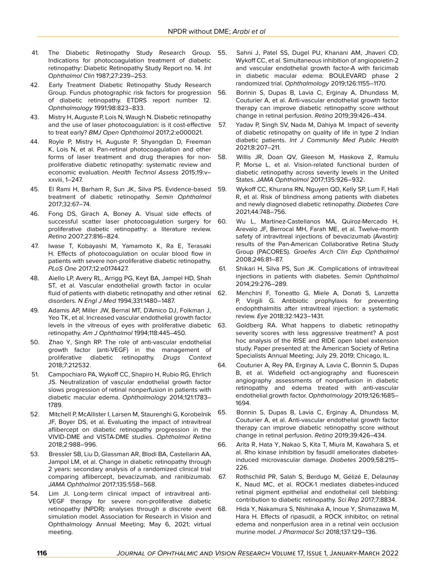- <span id="page-8-0"></span>41. The Diabetic Retinopathy Study Research Group. Indications for photocoagulation treatment of diabetic retinopathy: Diabetic Retinopathy Study Report no. 14. *Int Ophthalmol Clin* 1987;27:239–253.
- <span id="page-8-14"></span>42. Early Treatment Diabetic Retinopathy Study Research Group. Fundus photographic risk factors for progression of diabetic retinopathy. ETDRS report number 12. *Ophthalmology* 1991;98:823–833.
- <span id="page-8-1"></span>43. Mistry H, Auguste P, Lois N, Waugh N. Diabetic retinopathy and the use of laser photocoagulation: is it cost-effective to treat early? *BMJ Open Ophthalmol* 2017;2:e000021.
- <span id="page-8-2"></span>44. Royle P, Mistry H, Auguste P, Shyangdan D, Freeman K, Lois N, et al. Pan-retinal photocoagulation and other forms of laser treatment and drug therapies for nonproliferative diabetic retinopathy: systematic review and economic evaluation. *Health Technol Assess* 2015;19:v– xxviii, 1–247.
- <span id="page-8-3"></span>45. El Rami H, Barham R, Sun JK, Silva PS. Evidence-based treatment of diabetic retinopathy. *Semin Ophthalmol* 2017;32:67–74.
- <span id="page-8-4"></span>46. Fong DS, Girach A, Boney A. Visual side effects of successful scatter laser photocoagulation surgery for proliferative diabetic retinopathy: a literature review. *Retina* 2007;27:816–824.
- <span id="page-8-5"></span>47. Iwase T, Kobayashi M, Yamamoto K, Ra E, Terasaki H. Effects of photocoagulation on ocular blood flow in patients with severe non-proliferative diabetic retinopathy. *PLoS One* 2017;12:e0174427.
- <span id="page-8-6"></span>48. Aiello LP, Avery RL, Arrigg PG, Keyt BA, Jampel HD, Shah ST, et al. Vascular endothelial growth factor in ocular fluid of patients with diabetic retinopathy and other retinal disorders. *N Engl J Med* 1994;331:1480–1487.
- <span id="page-8-7"></span>49. Adamis AP, Miller JW, Bernal MT, D'Amico DJ, Folkman J, Yeo TK, et al. Increased vascular endothelial growth factor levels in the vitreous of eyes with proliferative diabetic retinopathy. *Am J Ophthalmol* 1994;118:445–450.
- <span id="page-8-8"></span>50. Zhao Y, Singh RP. The role of anti-vascular endothelial growth factor (anti-VEGF) in the management of proliferative diabetic retinopathy. *Drugs Context* 2018;7:212532.
- <span id="page-8-9"></span>51. Campochiaro PA, Wykoff CC, Shapiro H, Rubio RG, Ehrlich JS. Neutralization of vascular endothelial growth factor slows progression of retinal nonperfusion in patients with diabetic macular edema. *Ophthalmology* 2014;121:1783– 1789.
- <span id="page-8-10"></span>52. Mitchell P, McAllister I, Larsen M, Staurenghi G, Korobelnik JF, Boyer DS, et al. Evaluating the impact of intravitreal aflibercept on diabetic retinopathy progression in the VIVID-DME and VISTA-DME studies. *Ophthalmol Retina* 2018;2:988–996.
- <span id="page-8-11"></span>53. Bressler SB, Liu D, Glassman AR, Blodi BA, Castellarin AA, Jampol LM, et al. Change in diabetic retinopathy through 2 years: secondary analysis of a randomized clinical trial comparing aflibercept, bevacizumab, and ranibizumab. *JAMA Ophthalmol* 2017;135:558–568.
- <span id="page-8-12"></span>54. Lim JI. Long-term clinical impact of intravitreal anti-VEGF therapy for severe non-proliferative diabetic retinopathy (NPDR): analyses through a discrete event 68. simulation model. Association for Research in Vision and Ophthalmology Annual Meeting; May 6, 2021; virtual meeting.
- <span id="page-8-13"></span>55. Sahni J, Patel SS, Dugel PU, Khanani AM, Jhaveri CD, Wykoff CC, et al. Simultaneous inhibition of angiopoietin-2 and vascular endothelial growth factor-A with faricimab in diabetic macular edema: BOULEVARD phase 2 randomized trial. *Ophthalmology* 2019;126:1155–1170.
- <span id="page-8-15"></span>56. Bonnin S, Dupas B, Lavia C, Erginay A, Dhundass M, Couturier A, et al. Anti-vascular endothelial growth factor therapy can improve diabetic retinopathy score without change in retinal perfusion. *Retina* 2019;39:426–434.
- <span id="page-8-16"></span>57. Yadav P, Singh SV, Nada M, Dahiya M. Impact of severity of diabetic retinopathy on quality of life in type 2 Indian diabetic patients. *Int J Community Med Public Health* 2021;8:207–211.
- <span id="page-8-17"></span>58. Willis JR, Doan QV, Gleeson M, Haskova Z, Ramulu P, Morse L, et al. Vision-related functional burden of diabetic retinopathy across severity levels in the United States. *JAMA Ophthalmol* 2017;135:926–932.
- <span id="page-8-18"></span>59. Wykoff CC, Khurana RN, Nguyen QD, Kelly SP, Lum F, Hall R, et al. Risk of blindness among patients with diabetes and newly diagnosed diabetic retinopathy. *Diabetes Care* 2021;44:748–756.
- <span id="page-8-19"></span>60. Wu L, Martinez-Castellanos MA, Quiroz-Mercado H, Arevalo JF, Berrocal MH, Farah ME, et al. Twelve-month safety of intravitreal injections of bevacizumab (Avastin): results of the Pan-American Collaborative Retina Study Group (PACORES). *Graefes Arch Clin Exp Ophthalmol* 2008;246:81–87.
- <span id="page-8-20"></span>61. Shikari H, Silva PS, Sun JK. Complications of intravitreal injections in patients with diabetes. *Semin Ophthalmol* 2014;29:276–289.
- <span id="page-8-22"></span><span id="page-8-21"></span>62. Menchini F, Toneatto G, Miele A, Donati S, Lanzetta P, Virgili G. Antibiotic prophylaxis for preventing endophthalmitis after intravitreal injection: a systematic review. *Eye* 2018;32:1423–1431.
	- Goldberg RA. What happens to diabetic retinopathy severity scores with less aggressive treatment? A post hoc analysis of the RISE and RIDE open label extension study. Paper presented at: the American Society of Retina Specialists Annual Meeting; July 29, 2019; Chicago, IL.
- <span id="page-8-23"></span>64. Couturier A, Rey PA, Erginay A, Lavia C, Bonnin S, Dupas B, et al. Widefield oct-angiography and fluorescein angiography assessments of nonperfusion in diabetic retinopathy and edema treated with anti-vascular endothelial growth factor. *Ophthalmology* 2019;126:1685– 1694.
- <span id="page-8-24"></span>65. Bonnin S, Dupas B, Lavia C, Erginay A, Dhundass M, Couturier A, et al. Anti-vascular endothelial growth factor therapy can improve diabetic retinopathy score without change in retinal perfusion. *Retina* 2019;39:426–434.
- <span id="page-8-25"></span>66. Arita R, Hata Y, Nakao S, Kita T, Miura M, Kawahara S, et al. Rho kinase inhibition by fasudil ameliorates diabetesinduced microvascular damage. *Diabetes* 2009;58:215– 226.
- <span id="page-8-26"></span>67. Rothschild PR, Salah S, Berdugo M, Gélizé E, Delaunay K, Naud MC, et al. ROCK-1 mediates diabetes-induced retinal pigment epithelial and endothelial cell blebbing: contribution to diabetic retinopathy. *Sci Rep* 2017;7:8834.
- <span id="page-8-27"></span>68. Hida Y, Nakamura S, Nishinaka A, Inoue Y, Shimazawa M, Hara H. Effects of ripasudil, a ROCK inhibitor, on retinal edema and nonperfusion area in a retinal vein occlusion murine model. *J Pharmacol Sci* 2018;137:129–136.